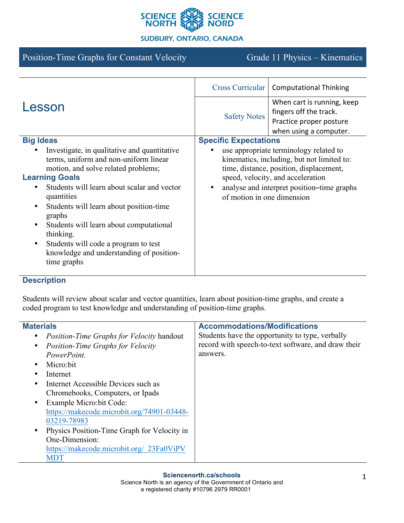

## **SUDBURY, ONTARIO, CANADA**

# Position-Time Graphs for Constant Velocity Grade 11 Physics – Kinematics

|                                                                                                                                                                                                                                                                                                                                                                                                                                                                                | <b>Cross Curricular</b>                                                                                                                                                                                                                          | <b>Computational Thinking</b>                                                                             |
|--------------------------------------------------------------------------------------------------------------------------------------------------------------------------------------------------------------------------------------------------------------------------------------------------------------------------------------------------------------------------------------------------------------------------------------------------------------------------------|--------------------------------------------------------------------------------------------------------------------------------------------------------------------------------------------------------------------------------------------------|-----------------------------------------------------------------------------------------------------------|
| Lesson                                                                                                                                                                                                                                                                                                                                                                                                                                                                         | <b>Safety Notes</b>                                                                                                                                                                                                                              | When cart is running, keep<br>fingers off the track.<br>Practice proper posture<br>when using a computer. |
| <b>Big Ideas</b>                                                                                                                                                                                                                                                                                                                                                                                                                                                               | <b>Specific Expectations</b>                                                                                                                                                                                                                     |                                                                                                           |
| Investigate, in qualitative and quantitative<br>terms, uniform and non-uniform linear<br>motion, and solve related problems;<br><b>Learning Goals</b><br>Students will learn about scalar and vector<br>$\bullet$<br>quantities<br>Students will learn about position-time<br>$\bullet$<br>graphs<br>Students will learn about computational<br>$\bullet$<br>thinking.<br>Students will code a program to test<br>٠<br>knowledge and understanding of position-<br>time graphs | use appropriate terminology related to<br>kinematics, including, but not limited to:<br>time, distance, position, displacement,<br>speed, velocity, and acceleration<br>analyse and interpret position-time graphs<br>of motion in one dimension |                                                                                                           |

# **Description**

Students will review about scalar and vector quantities, learn about position-time graphs, and create a coded program to test knowledge and understanding of position-time graphs.

| <b>Materials</b>                                 | <b>Accommodations/Modifications</b>                 |
|--------------------------------------------------|-----------------------------------------------------|
| <i>Position-Time Graphs for Velocity handout</i> | Students have the opportunity to type, verbally     |
| <b>Position-Time Graphs for Velocity</b>         | record with speech-to-text software, and draw their |
| PowerPoint.                                      | answers.                                            |
| Micro:bit                                        |                                                     |
| Internet                                         |                                                     |
| Internet Accessible Devices such as              |                                                     |
| Chromebooks, Computers, or Ipads                 |                                                     |
| Example Micro: bit Code:                         |                                                     |
| https://makecode.microbit.org/74901-03448-       |                                                     |
| 03219-78983                                      |                                                     |
| Physics Position-Time Graph for Velocity in      |                                                     |
| One-Dimension:                                   |                                                     |
| https://makecode.microbit.org/ 23Fa0ViPV         |                                                     |
| <b>MDT</b>                                       |                                                     |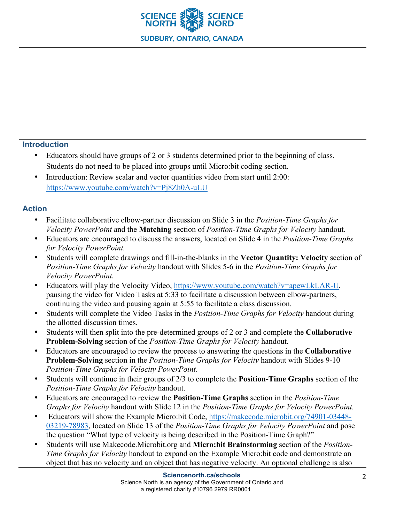

#### **Introduction**

- Educators should have groups of 2 or 3 students determined prior to the beginning of class. Students do not need to be placed into groups until Micro:bit coding section.
- Introduction: Review scalar and vector quantities video from start until 2:00: https://www.youtube.com/watch?v=Pj8Zh0A-uLU

#### **Action**

- Facilitate collaborative elbow-partner discussion on Slide 3 in the *Position-Time Graphs for Velocity PowerPoint* and the **Matching** section of *Position-Time Graphs for Velocity* handout.
- Educators are encouraged to discuss the answers, located on Slide 4 in the *Position-Time Graphs for Velocity PowerPoint.*
- Students will complete drawings and fill-in-the-blanks in the **Vector Quantity: Velocity** section of *Position-Time Graphs for Velocity* handout with Slides 5-6 in the *Position-Time Graphs for Velocity PowerPoint.*
- Educators will play the Velocity Video, https://www.youtube.com/watch?v=apewLkLAR-U, pausing the video for Video Tasks at 5:33 to facilitate a discussion between elbow-partners, continuing the video and pausing again at 5:55 to facilitate a class discussion.
- Students will complete the Video Tasks in the *Position-Time Graphs for Velocity* handout during the allotted discussion times.
- Students will then split into the pre-determined groups of 2 or 3 and complete the **Collaborative Problem-Solving** section of the *Position-Time Graphs for Velocity* handout.
- Educators are encouraged to review the process to answering the questions in the **Collaborative Problem-Solving** section in the *Position-Time Graphs for Velocity* handout with Slides 9-10 *Position-Time Graphs for Velocity PowerPoint.*
- Students will continue in their groups of 2/3 to complete the **Position-Time Graphs** section of the *Position-Time Graphs for Velocity* handout.
- Educators are encouraged to review the **Position-Time Graphs** section in the *Position-Time Graphs for Velocity* handout with Slide 12 in the *Position-Time Graphs for Velocity PowerPoint.*
- Educators will show the Example Micro:bit Code, https://makecode.microbit.org/74901-03448- 03219-78983, located on Slide 13 of the *Position-Time Graphs for Velocity PowerPoint* and pose the question "What type of velocity is being described in the Position-Time Graph?"
- Students will use Makecode.Microbit.org and **Micro:bit Brainstorming** section of the *Position-Time Graphs for Velocity* handout to expand on the Example Micro:bit code and demonstrate an object that has no velocity and an object that has negative velocity. An optional challenge is also